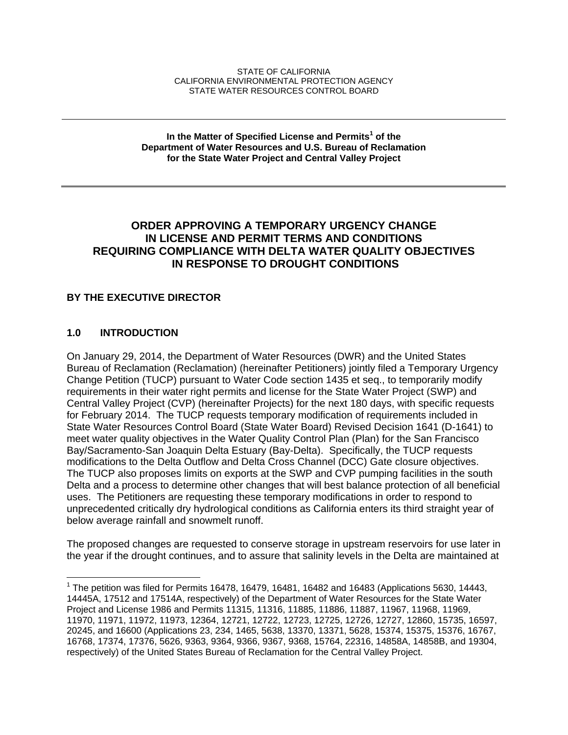#### STATE OF CALIFORNIA CALIFORNIA ENVIRONMENTAL PROTECTION AGENCY STATE WATER RESOURCES CONTROL BOARD

#### **In the Matter of Specified License and Permits<sup>1</sup> of the Department of Water Resources and U.S. Bureau of Reclamation for the State Water Project and Central Valley Project**

# **ORDER APPROVING A TEMPORARY URGENCY CHANGE IN LICENSE AND PERMIT TERMS AND CONDITIONS REQUIRING COMPLIANCE WITH DELTA WATER QUALITY OBJECTIVES IN RESPONSE TO DROUGHT CONDITIONS**

# **BY THE EXECUTIVE DIRECTOR**

# **1.0 INTRODUCTION**

 $\overline{a}$ 

On January 29, 2014, the Department of Water Resources (DWR) and the United States Bureau of Reclamation (Reclamation) (hereinafter Petitioners) jointly filed a Temporary Urgency Change Petition (TUCP) pursuant to Water Code section 1435 et seq., to temporarily modify requirements in their water right permits and license for the State Water Project (SWP) and Central Valley Project (CVP) (hereinafter Projects) for the next 180 days, with specific requests for February 2014. The TUCP requests temporary modification of requirements included in State Water Resources Control Board (State Water Board) Revised Decision 1641 (D-1641) to meet water quality objectives in the Water Quality Control Plan (Plan) for the San Francisco Bay/Sacramento-San Joaquin Delta Estuary (Bay-Delta). Specifically, the TUCP requests modifications to the Delta Outflow and Delta Cross Channel (DCC) Gate closure objectives. The TUCP also proposes limits on exports at the SWP and CVP pumping facilities in the south Delta and a process to determine other changes that will best balance protection of all beneficial uses. The Petitioners are requesting these temporary modifications in order to respond to unprecedented critically dry hydrological conditions as California enters its third straight year of below average rainfall and snowmelt runoff.

The proposed changes are requested to conserve storage in upstream reservoirs for use later in the year if the drought continues, and to assure that salinity levels in the Delta are maintained at

<sup>&</sup>lt;sup>1</sup> The petition was filed for Permits 16478, 16479, 16481, 16482 and 16483 (Applications 5630, 14443, 14445A, 17512 and 17514A, respectively) of the Department of Water Resources for the State Water Project and License 1986 and Permits 11315, 11316, 11885, 11886, 11887, 11967, 11968, 11969, 11970, 11971, 11972, 11973, 12364, 12721, 12722, 12723, 12725, 12726, 12727, 12860, 15735, 16597, 20245, and 16600 (Applications 23, 234, 1465, 5638, 13370, 13371, 5628, 15374, 15375, 15376, 16767, 16768, 17374, 17376, 5626, 9363, 9364, 9366, 9367, 9368, 15764, 22316, 14858A, 14858B, and 19304, respectively) of the United States Bureau of Reclamation for the Central Valley Project.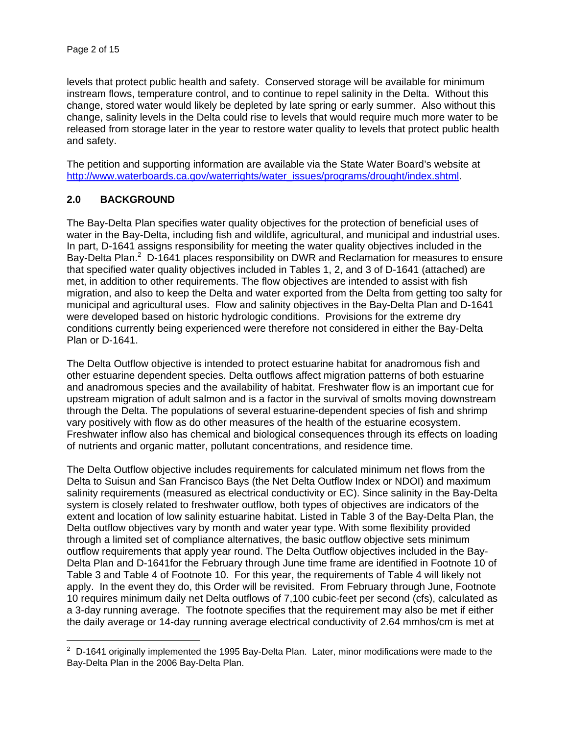levels that protect public health and safety. Conserved storage will be available for minimum instream flows, temperature control, and to continue to repel salinity in the Delta. Without this change, stored water would likely be depleted by late spring or early summer. Also without this change, salinity levels in the Delta could rise to levels that would require much more water to be released from storage later in the year to restore water quality to levels that protect public health and safety.

The petition and supporting information are available via the State Water Board's website at http://www.waterboards.ca.gov/waterrights/water\_issues/programs/drought/index.shtml.

# **2.0 BACKGROUND**

 $\overline{a}$ 

The Bay-Delta Plan specifies water quality objectives for the protection of beneficial uses of water in the Bay-Delta, including fish and wildlife, agricultural, and municipal and industrial uses. In part, D-1641 assigns responsibility for meeting the water quality objectives included in the Bay-Delta Plan.<sup>2</sup> D-1641 places responsibility on DWR and Reclamation for measures to ensure that specified water quality objectives included in Tables 1, 2, and 3 of D-1641 (attached) are met, in addition to other requirements. The flow objectives are intended to assist with fish migration, and also to keep the Delta and water exported from the Delta from getting too salty for municipal and agricultural uses. Flow and salinity objectives in the Bay-Delta Plan and D-1641 were developed based on historic hydrologic conditions. Provisions for the extreme dry conditions currently being experienced were therefore not considered in either the Bay-Delta Plan or D-1641.

The Delta Outflow objective is intended to protect estuarine habitat for anadromous fish and other estuarine dependent species. Delta outflows affect migration patterns of both estuarine and anadromous species and the availability of habitat. Freshwater flow is an important cue for upstream migration of adult salmon and is a factor in the survival of smolts moving downstream through the Delta. The populations of several estuarine-dependent species of fish and shrimp vary positively with flow as do other measures of the health of the estuarine ecosystem. Freshwater inflow also has chemical and biological consequences through its effects on loading of nutrients and organic matter, pollutant concentrations, and residence time.

The Delta Outflow objective includes requirements for calculated minimum net flows from the Delta to Suisun and San Francisco Bays (the Net Delta Outflow Index or NDOI) and maximum salinity requirements (measured as electrical conductivity or EC). Since salinity in the Bay-Delta system is closely related to freshwater outflow, both types of objectives are indicators of the extent and location of low salinity estuarine habitat. Listed in Table 3 of the Bay-Delta Plan, the Delta outflow objectives vary by month and water year type. With some flexibility provided through a limited set of compliance alternatives, the basic outflow objective sets minimum outflow requirements that apply year round. The Delta Outflow objectives included in the Bay-Delta Plan and D-1641for the February through June time frame are identified in Footnote 10 of Table 3 and Table 4 of Footnote 10. For this year, the requirements of Table 4 will likely not apply. In the event they do, this Order will be revisited. From February through June, Footnote 10 requires minimum daily net Delta outflows of 7,100 cubic-feet per second (cfs), calculated as a 3-day running average. The footnote specifies that the requirement may also be met if either the daily average or 14-day running average electrical conductivity of 2.64 mmhos/cm is met at

 $2$  D-1641 originally implemented the 1995 Bay-Delta Plan. Later, minor modifications were made to the Bay-Delta Plan in the 2006 Bay-Delta Plan.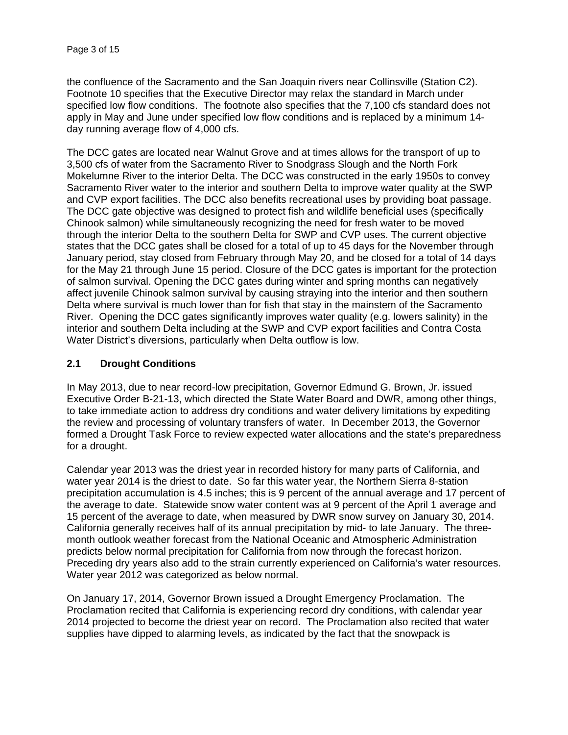the confluence of the Sacramento and the San Joaquin rivers near Collinsville (Station C2). Footnote 10 specifies that the Executive Director may relax the standard in March under specified low flow conditions. The footnote also specifies that the 7,100 cfs standard does not apply in May and June under specified low flow conditions and is replaced by a minimum 14 day running average flow of 4,000 cfs.

The DCC gates are located near Walnut Grove and at times allows for the transport of up to 3,500 cfs of water from the Sacramento River to Snodgrass Slough and the North Fork Mokelumne River to the interior Delta. The DCC was constructed in the early 1950s to convey Sacramento River water to the interior and southern Delta to improve water quality at the SWP and CVP export facilities. The DCC also benefits recreational uses by providing boat passage. The DCC gate objective was designed to protect fish and wildlife beneficial uses (specifically Chinook salmon) while simultaneously recognizing the need for fresh water to be moved through the interior Delta to the southern Delta for SWP and CVP uses. The current objective states that the DCC gates shall be closed for a total of up to 45 days for the November through January period, stay closed from February through May 20, and be closed for a total of 14 days for the May 21 through June 15 period. Closure of the DCC gates is important for the protection of salmon survival. Opening the DCC gates during winter and spring months can negatively affect juvenile Chinook salmon survival by causing straying into the interior and then southern Delta where survival is much lower than for fish that stay in the mainstem of the Sacramento River. Opening the DCC gates significantly improves water quality (e.g. lowers salinity) in the interior and southern Delta including at the SWP and CVP export facilities and Contra Costa Water District's diversions, particularly when Delta outflow is low.

### **2.1 Drought Conditions**

In May 2013, due to near record-low precipitation, Governor Edmund G. Brown, Jr. issued Executive Order B-21-13, which directed the State Water Board and DWR, among other things, to take immediate action to address dry conditions and water delivery limitations by expediting the review and processing of voluntary transfers of water. In December 2013, the Governor formed a Drought Task Force to review expected water allocations and the state's preparedness for a drought.

Calendar year 2013 was the driest year in recorded history for many parts of California, and water year 2014 is the driest to date. So far this water year, the Northern Sierra 8-station precipitation accumulation is 4.5 inches; this is 9 percent of the annual average and 17 percent of the average to date. Statewide snow water content was at 9 percent of the April 1 average and 15 percent of the average to date, when measured by DWR snow survey on January 30, 2014. California generally receives half of its annual precipitation by mid- to late January. The threemonth outlook weather forecast from the National Oceanic and Atmospheric Administration predicts below normal precipitation for California from now through the forecast horizon. Preceding dry years also add to the strain currently experienced on California's water resources. Water year 2012 was categorized as below normal.

On January 17, 2014, Governor Brown issued a Drought Emergency Proclamation. The Proclamation recited that California is experiencing record dry conditions, with calendar year 2014 projected to become the driest year on record. The Proclamation also recited that water supplies have dipped to alarming levels, as indicated by the fact that the snowpack is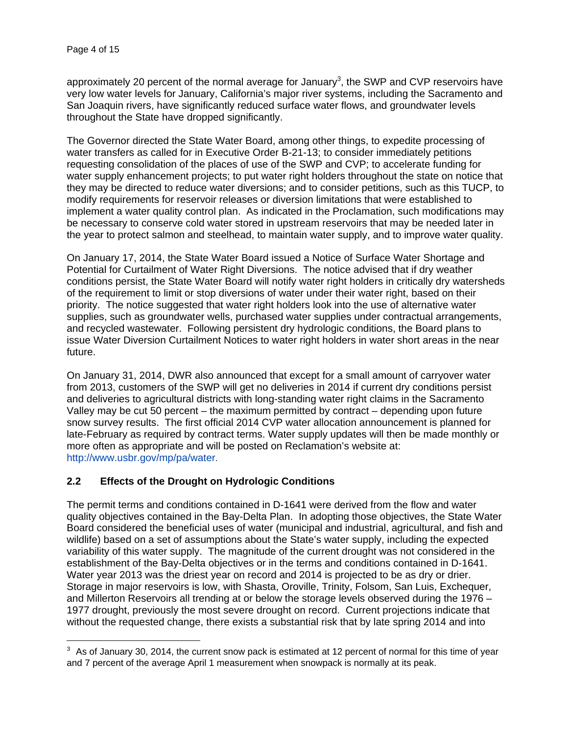$\overline{a}$ 

approximately 20 percent of the normal average for January<sup>3</sup>, the SWP and CVP reservoirs have very low water levels for January, California's major river systems, including the Sacramento and San Joaquin rivers, have significantly reduced surface water flows, and groundwater levels throughout the State have dropped significantly.

The Governor directed the State Water Board, among other things, to expedite processing of water transfers as called for in Executive Order B-21-13; to consider immediately petitions requesting consolidation of the places of use of the SWP and CVP; to accelerate funding for water supply enhancement projects; to put water right holders throughout the state on notice that they may be directed to reduce water diversions; and to consider petitions, such as this TUCP, to modify requirements for reservoir releases or diversion limitations that were established to implement a water quality control plan. As indicated in the Proclamation, such modifications may be necessary to conserve cold water stored in upstream reservoirs that may be needed later in the year to protect salmon and steelhead, to maintain water supply, and to improve water quality.

On January 17, 2014, the State Water Board issued a Notice of Surface Water Shortage and Potential for Curtailment of Water Right Diversions. The notice advised that if dry weather conditions persist, the State Water Board will notify water right holders in critically dry watersheds of the requirement to limit or stop diversions of water under their water right, based on their priority. The notice suggested that water right holders look into the use of alternative water supplies, such as groundwater wells, purchased water supplies under contractual arrangements, and recycled wastewater. Following persistent dry hydrologic conditions, the Board plans to issue Water Diversion Curtailment Notices to water right holders in water short areas in the near future.

On January 31, 2014, DWR also announced that except for a small amount of carryover water from 2013, customers of the SWP will get no deliveries in 2014 if current dry conditions persist and deliveries to agricultural districts with long-standing water right claims in the Sacramento Valley may be cut 50 percent – the maximum permitted by contract – depending upon future snow survey results. The first official 2014 CVP water allocation announcement is planned for late-February as required by contract terms. Water supply updates will then be made monthly or more often as appropriate and will be posted on Reclamation's website at: http://www.usbr.gov/mp/pa/water.

# **2.2 Effects of the Drought on Hydrologic Conditions**

The permit terms and conditions contained in D-1641 were derived from the flow and water quality objectives contained in the Bay-Delta Plan. In adopting those objectives, the State Water Board considered the beneficial uses of water (municipal and industrial, agricultural, and fish and wildlife) based on a set of assumptions about the State's water supply, including the expected variability of this water supply. The magnitude of the current drought was not considered in the establishment of the Bay-Delta objectives or in the terms and conditions contained in D-1641. Water year 2013 was the driest year on record and 2014 is projected to be as dry or drier. Storage in major reservoirs is low, with Shasta, Oroville, Trinity, Folsom, San Luis, Exchequer, and Millerton Reservoirs all trending at or below the storage levels observed during the 1976 – 1977 drought, previously the most severe drought on record. Current projections indicate that without the requested change, there exists a substantial risk that by late spring 2014 and into

<sup>&</sup>lt;sup>3</sup> As of January 30, 2014, the current snow pack is estimated at 12 percent of normal for this time of year and 7 percent of the average April 1 measurement when snowpack is normally at its peak.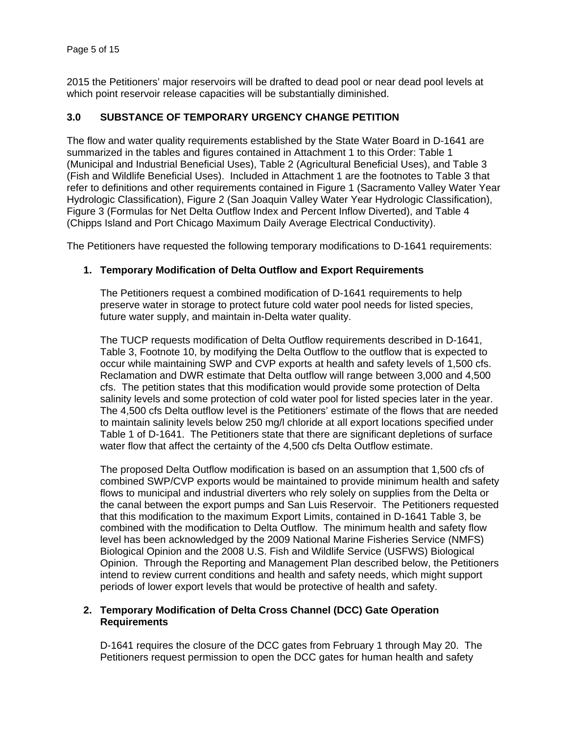2015 the Petitioners' major reservoirs will be drafted to dead pool or near dead pool levels at which point reservoir release capacities will be substantially diminished.

# **3.0 SUBSTANCE OF TEMPORARY URGENCY CHANGE PETITION**

The flow and water quality requirements established by the State Water Board in D-1641 are summarized in the tables and figures contained in Attachment 1 to this Order: Table 1 (Municipal and Industrial Beneficial Uses), Table 2 (Agricultural Beneficial Uses), and Table 3 (Fish and Wildlife Beneficial Uses). Included in Attachment 1 are the footnotes to Table 3 that refer to definitions and other requirements contained in Figure 1 (Sacramento Valley Water Year Hydrologic Classification), Figure 2 (San Joaquin Valley Water Year Hydrologic Classification), Figure 3 (Formulas for Net Delta Outflow Index and Percent Inflow Diverted), and Table 4 (Chipps Island and Port Chicago Maximum Daily Average Electrical Conductivity).

The Petitioners have requested the following temporary modifications to D-1641 requirements:

### **1. Temporary Modification of Delta Outflow and Export Requirements**

The Petitioners request a combined modification of D-1641 requirements to help preserve water in storage to protect future cold water pool needs for listed species, future water supply, and maintain in-Delta water quality.

The TUCP requests modification of Delta Outflow requirements described in D-1641, Table 3, Footnote 10, by modifying the Delta Outflow to the outflow that is expected to occur while maintaining SWP and CVP exports at health and safety levels of 1,500 cfs. Reclamation and DWR estimate that Delta outflow will range between 3,000 and 4,500 cfs. The petition states that this modification would provide some protection of Delta salinity levels and some protection of cold water pool for listed species later in the year. The 4,500 cfs Delta outflow level is the Petitioners' estimate of the flows that are needed to maintain salinity levels below 250 mg/l chloride at all export locations specified under Table 1 of D-1641. The Petitioners state that there are significant depletions of surface water flow that affect the certainty of the 4,500 cfs Delta Outflow estimate.

The proposed Delta Outflow modification is based on an assumption that 1,500 cfs of combined SWP/CVP exports would be maintained to provide minimum health and safety flows to municipal and industrial diverters who rely solely on supplies from the Delta or the canal between the export pumps and San Luis Reservoir. The Petitioners requested that this modification to the maximum Export Limits, contained in D-1641 Table 3, be combined with the modification to Delta Outflow. The minimum health and safety flow level has been acknowledged by the 2009 National Marine Fisheries Service (NMFS) Biological Opinion and the 2008 U.S. Fish and Wildlife Service (USFWS) Biological Opinion. Through the Reporting and Management Plan described below, the Petitioners intend to review current conditions and health and safety needs, which might support periods of lower export levels that would be protective of health and safety.

### **2. Temporary Modification of Delta Cross Channel (DCC) Gate Operation Requirements**

D-1641 requires the closure of the DCC gates from February 1 through May 20. The Petitioners request permission to open the DCC gates for human health and safety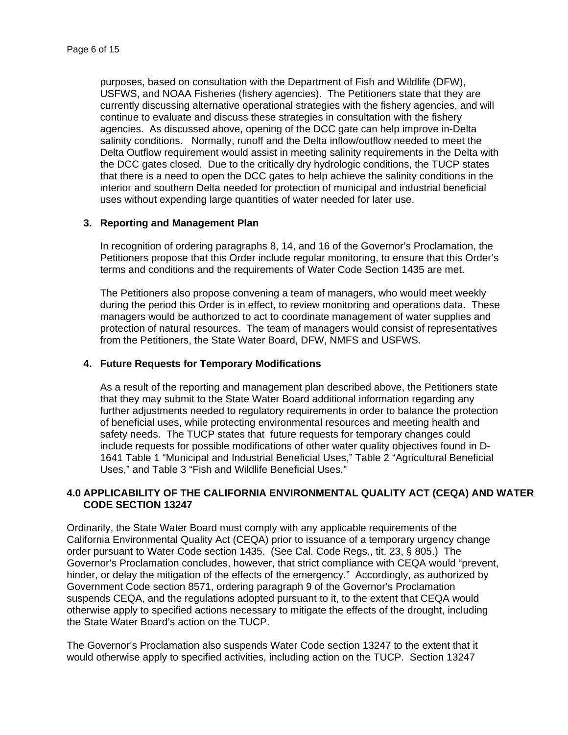purposes, based on consultation with the Department of Fish and Wildlife (DFW), USFWS, and NOAA Fisheries (fishery agencies). The Petitioners state that they are currently discussing alternative operational strategies with the fishery agencies, and will continue to evaluate and discuss these strategies in consultation with the fishery agencies. As discussed above, opening of the DCC gate can help improve in-Delta salinity conditions. Normally, runoff and the Delta inflow/outflow needed to meet the Delta Outflow requirement would assist in meeting salinity requirements in the Delta with the DCC gates closed. Due to the critically dry hydrologic conditions, the TUCP states that there is a need to open the DCC gates to help achieve the salinity conditions in the interior and southern Delta needed for protection of municipal and industrial beneficial uses without expending large quantities of water needed for later use.

#### **3. Reporting and Management Plan**

In recognition of ordering paragraphs 8, 14, and 16 of the Governor's Proclamation, the Petitioners propose that this Order include regular monitoring, to ensure that this Order's terms and conditions and the requirements of Water Code Section 1435 are met.

The Petitioners also propose convening a team of managers, who would meet weekly during the period this Order is in effect, to review monitoring and operations data. These managers would be authorized to act to coordinate management of water supplies and protection of natural resources. The team of managers would consist of representatives from the Petitioners, the State Water Board, DFW, NMFS and USFWS.

### **4. Future Requests for Temporary Modifications**

As a result of the reporting and management plan described above, the Petitioners state that they may submit to the State Water Board additional information regarding any further adjustments needed to regulatory requirements in order to balance the protection of beneficial uses, while protecting environmental resources and meeting health and safety needs. The TUCP states that future requests for temporary changes could include requests for possible modifications of other water quality objectives found in D-1641 Table 1 "Municipal and Industrial Beneficial Uses," Table 2 "Agricultural Beneficial Uses," and Table 3 "Fish and Wildlife Beneficial Uses."

### **4.0 APPLICABILITY OF THE CALIFORNIA ENVIRONMENTAL QUALITY ACT (CEQA) AND WATER CODE SECTION 13247**

Ordinarily, the State Water Board must comply with any applicable requirements of the California Environmental Quality Act (CEQA) prior to issuance of a temporary urgency change order pursuant to Water Code section 1435. (See Cal. Code Regs., tit. 23, § 805.) The Governor's Proclamation concludes, however, that strict compliance with CEQA would "prevent, hinder, or delay the mitigation of the effects of the emergency." Accordingly, as authorized by Government Code section 8571, ordering paragraph 9 of the Governor's Proclamation suspends CEQA, and the regulations adopted pursuant to it, to the extent that CEQA would otherwise apply to specified actions necessary to mitigate the effects of the drought, including the State Water Board's action on the TUCP.

The Governor's Proclamation also suspends Water Code section 13247 to the extent that it would otherwise apply to specified activities, including action on the TUCP. Section 13247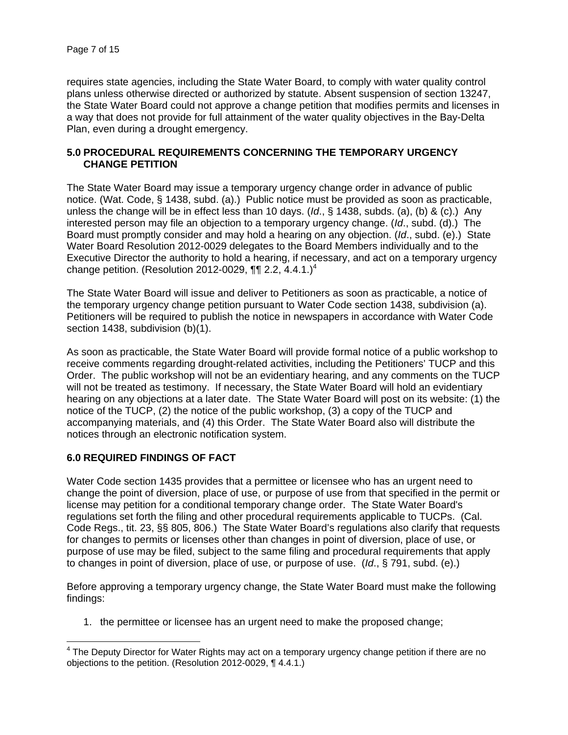requires state agencies, including the State Water Board, to comply with water quality control plans unless otherwise directed or authorized by statute. Absent suspension of section 13247, the State Water Board could not approve a change petition that modifies permits and licenses in a way that does not provide for full attainment of the water quality objectives in the Bay-Delta Plan, even during a drought emergency.

### **5.0 PROCEDURAL REQUIREMENTS CONCERNING THE TEMPORARY URGENCY CHANGE PETITION**

The State Water Board may issue a temporary urgency change order in advance of public notice. (Wat. Code, § 1438, subd. (a).) Public notice must be provided as soon as practicable, unless the change will be in effect less than 10 days. (*Id*., § 1438, subds. (a), (b) & (c).) Any interested person may file an objection to a temporary urgency change. (*Id*., subd. (d).) The Board must promptly consider and may hold a hearing on any objection. (*Id*., subd. (e).) State Water Board Resolution 2012-0029 delegates to the Board Members individually and to the Executive Director the authority to hold a hearing, if necessary, and act on a temporary urgency change petition. (Resolution 2012-0029,  $\P\P$  2.2, 4.4.1.)<sup>4</sup>

The State Water Board will issue and deliver to Petitioners as soon as practicable, a notice of the temporary urgency change petition pursuant to Water Code section 1438, subdivision (a). Petitioners will be required to publish the notice in newspapers in accordance with Water Code section 1438, subdivision (b)(1).

As soon as practicable, the State Water Board will provide formal notice of a public workshop to receive comments regarding drought-related activities, including the Petitioners' TUCP and this Order. The public workshop will not be an evidentiary hearing, and any comments on the TUCP will not be treated as testimony. If necessary, the State Water Board will hold an evidentiary hearing on any objections at a later date. The State Water Board will post on its website: (1) the notice of the TUCP, (2) the notice of the public workshop, (3) a copy of the TUCP and accompanying materials, and (4) this Order. The State Water Board also will distribute the notices through an electronic notification system.

### **6.0 REQUIRED FINDINGS OF FACT**

Water Code section 1435 provides that a permittee or licensee who has an urgent need to change the point of diversion, place of use, or purpose of use from that specified in the permit or license may petition for a conditional temporary change order. The State Water Board's regulations set forth the filing and other procedural requirements applicable to TUCPs. (Cal. Code Regs., tit. 23, §§ 805, 806.) The State Water Board's regulations also clarify that requests for changes to permits or licenses other than changes in point of diversion, place of use, or purpose of use may be filed, subject to the same filing and procedural requirements that apply to changes in point of diversion, place of use, or purpose of use. (*Id*., § 791, subd. (e).)

Before approving a temporary urgency change, the State Water Board must make the following findings:

1. the permittee or licensee has an urgent need to make the proposed change;

<sup>————————————————————&</sup>lt;br><sup>4</sup> The Deputy Director for Water Rights may act on a temporary urgency change petition if there are no objections to the petition. (Resolution 2012-0029, ¶ 4.4.1.)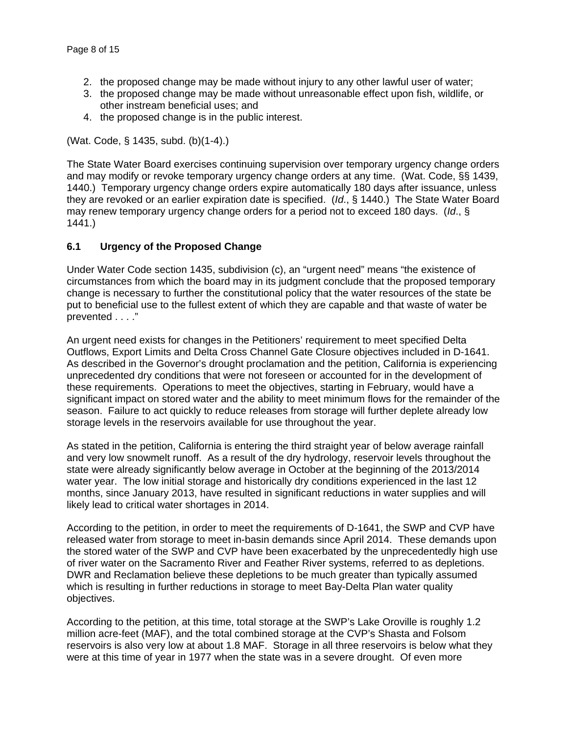- 2. the proposed change may be made without injury to any other lawful user of water;
- 3. the proposed change may be made without unreasonable effect upon fish, wildlife, or other instream beneficial uses; and
- 4. the proposed change is in the public interest.

(Wat. Code, § 1435, subd. (b)(1-4).)

The State Water Board exercises continuing supervision over temporary urgency change orders and may modify or revoke temporary urgency change orders at any time. (Wat. Code, §§ 1439, 1440.) Temporary urgency change orders expire automatically 180 days after issuance, unless they are revoked or an earlier expiration date is specified. (*Id*., § 1440.) The State Water Board may renew temporary urgency change orders for a period not to exceed 180 days. (*Id*., § 1441.)

### **6.1 Urgency of the Proposed Change**

Under Water Code section 1435, subdivision (c), an "urgent need" means "the existence of circumstances from which the board may in its judgment conclude that the proposed temporary change is necessary to further the constitutional policy that the water resources of the state be put to beneficial use to the fullest extent of which they are capable and that waste of water be prevented . . . ."

An urgent need exists for changes in the Petitioners' requirement to meet specified Delta Outflows, Export Limits and Delta Cross Channel Gate Closure objectives included in D-1641. As described in the Governor's drought proclamation and the petition, California is experiencing unprecedented dry conditions that were not foreseen or accounted for in the development of these requirements. Operations to meet the objectives, starting in February, would have a significant impact on stored water and the ability to meet minimum flows for the remainder of the season. Failure to act quickly to reduce releases from storage will further deplete already low storage levels in the reservoirs available for use throughout the year.

As stated in the petition, California is entering the third straight year of below average rainfall and very low snowmelt runoff. As a result of the dry hydrology, reservoir levels throughout the state were already significantly below average in October at the beginning of the 2013/2014 water year. The low initial storage and historically dry conditions experienced in the last 12 months, since January 2013, have resulted in significant reductions in water supplies and will likely lead to critical water shortages in 2014.

According to the petition, in order to meet the requirements of D-1641, the SWP and CVP have released water from storage to meet in-basin demands since April 2014. These demands upon the stored water of the SWP and CVP have been exacerbated by the unprecedentedly high use of river water on the Sacramento River and Feather River systems, referred to as depletions. DWR and Reclamation believe these depletions to be much greater than typically assumed which is resulting in further reductions in storage to meet Bay-Delta Plan water quality objectives.

According to the petition, at this time, total storage at the SWP's Lake Oroville is roughly 1.2 million acre-feet (MAF), and the total combined storage at the CVP's Shasta and Folsom reservoirs is also very low at about 1.8 MAF. Storage in all three reservoirs is below what they were at this time of year in 1977 when the state was in a severe drought. Of even more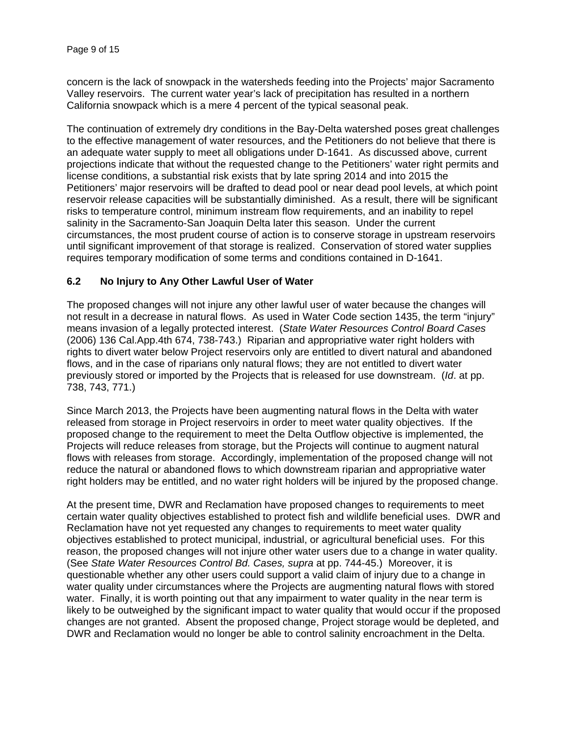concern is the lack of snowpack in the watersheds feeding into the Projects' major Sacramento Valley reservoirs. The current water year's lack of precipitation has resulted in a northern California snowpack which is a mere 4 percent of the typical seasonal peak.

The continuation of extremely dry conditions in the Bay-Delta watershed poses great challenges to the effective management of water resources, and the Petitioners do not believe that there is an adequate water supply to meet all obligations under D-1641. As discussed above, current projections indicate that without the requested change to the Petitioners' water right permits and license conditions, a substantial risk exists that by late spring 2014 and into 2015 the Petitioners' major reservoirs will be drafted to dead pool or near dead pool levels, at which point reservoir release capacities will be substantially diminished. As a result, there will be significant risks to temperature control, minimum instream flow requirements, and an inability to repel salinity in the Sacramento-San Joaquin Delta later this season. Under the current circumstances, the most prudent course of action is to conserve storage in upstream reservoirs until significant improvement of that storage is realized. Conservation of stored water supplies requires temporary modification of some terms and conditions contained in D-1641.

### **6.2 No Injury to Any Other Lawful User of Water**

The proposed changes will not injure any other lawful user of water because the changes will not result in a decrease in natural flows. As used in Water Code section 1435, the term "injury" means invasion of a legally protected interest. (*State Water Resources Control Board Cases* (2006) 136 Cal.App.4th 674, 738-743.) Riparian and appropriative water right holders with rights to divert water below Project reservoirs only are entitled to divert natural and abandoned flows, and in the case of riparians only natural flows; they are not entitled to divert water previously stored or imported by the Projects that is released for use downstream. (*Id*. at pp. 738, 743, 771.)

Since March 2013, the Projects have been augmenting natural flows in the Delta with water released from storage in Project reservoirs in order to meet water quality objectives. If the proposed change to the requirement to meet the Delta Outflow objective is implemented, the Projects will reduce releases from storage, but the Projects will continue to augment natural flows with releases from storage. Accordingly, implementation of the proposed change will not reduce the natural or abandoned flows to which downstream riparian and appropriative water right holders may be entitled, and no water right holders will be injured by the proposed change.

At the present time, DWR and Reclamation have proposed changes to requirements to meet certain water quality objectives established to protect fish and wildlife beneficial uses. DWR and Reclamation have not yet requested any changes to requirements to meet water quality objectives established to protect municipal, industrial, or agricultural beneficial uses. For this reason, the proposed changes will not injure other water users due to a change in water quality. (See *State Water Resources Control Bd. Cases, supra* at pp. 744-45.) Moreover, it is questionable whether any other users could support a valid claim of injury due to a change in water quality under circumstances where the Projects are augmenting natural flows with stored water. Finally, it is worth pointing out that any impairment to water quality in the near term is likely to be outweighed by the significant impact to water quality that would occur if the proposed changes are not granted. Absent the proposed change, Project storage would be depleted, and DWR and Reclamation would no longer be able to control salinity encroachment in the Delta.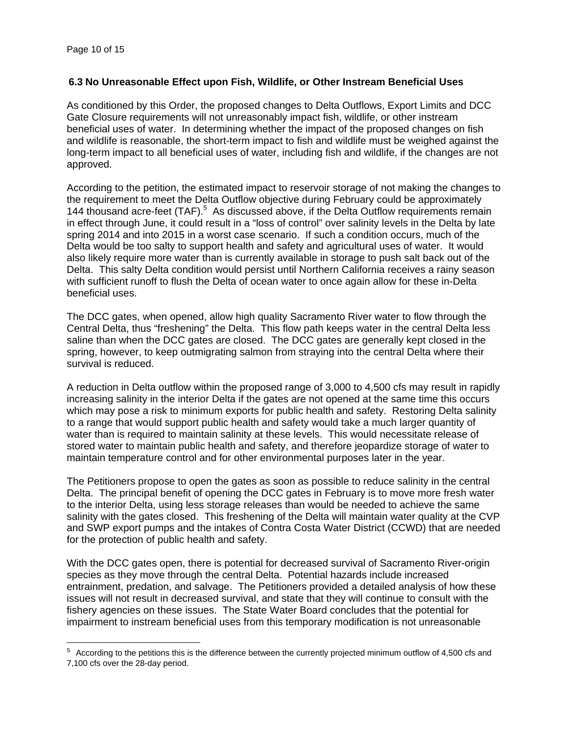$\overline{a}$ 

### **6.3 No Unreasonable Effect upon Fish, Wildlife, or Other Instream Beneficial Uses**

As conditioned by this Order, the proposed changes to Delta Outflows, Export Limits and DCC Gate Closure requirements will not unreasonably impact fish, wildlife, or other instream beneficial uses of water. In determining whether the impact of the proposed changes on fish and wildlife is reasonable, the short-term impact to fish and wildlife must be weighed against the long-term impact to all beneficial uses of water, including fish and wildlife, if the changes are not approved.

According to the petition, the estimated impact to reservoir storage of not making the changes to the requirement to meet the Delta Outflow objective during February could be approximately 144 thousand acre-feet (TAF).<sup>5</sup> As discussed above, if the Delta Outflow requirements remain in effect through June, it could result in a "loss of control" over salinity levels in the Delta by late spring 2014 and into 2015 in a worst case scenario. If such a condition occurs, much of the Delta would be too salty to support health and safety and agricultural uses of water. It would also likely require more water than is currently available in storage to push salt back out of the Delta. This salty Delta condition would persist until Northern California receives a rainy season with sufficient runoff to flush the Delta of ocean water to once again allow for these in-Delta beneficial uses.

The DCC gates, when opened, allow high quality Sacramento River water to flow through the Central Delta, thus "freshening" the Delta. This flow path keeps water in the central Delta less saline than when the DCC gates are closed. The DCC gates are generally kept closed in the spring, however, to keep outmigrating salmon from straying into the central Delta where their survival is reduced.

A reduction in Delta outflow within the proposed range of 3,000 to 4,500 cfs may result in rapidly increasing salinity in the interior Delta if the gates are not opened at the same time this occurs which may pose a risk to minimum exports for public health and safety. Restoring Delta salinity to a range that would support public health and safety would take a much larger quantity of water than is required to maintain salinity at these levels. This would necessitate release of stored water to maintain public health and safety, and therefore jeopardize storage of water to maintain temperature control and for other environmental purposes later in the year.

The Petitioners propose to open the gates as soon as possible to reduce salinity in the central Delta. The principal benefit of opening the DCC gates in February is to move more fresh water to the interior Delta, using less storage releases than would be needed to achieve the same salinity with the gates closed. This freshening of the Delta will maintain water quality at the CVP and SWP export pumps and the intakes of Contra Costa Water District (CCWD) that are needed for the protection of public health and safety.

With the DCC gates open, there is potential for decreased survival of Sacramento River-origin species as they move through the central Delta. Potential hazards include increased entrainment, predation, and salvage. The Petitioners provided a detailed analysis of how these issues will not result in decreased survival, and state that they will continue to consult with the fishery agencies on these issues. The State Water Board concludes that the potential for impairment to instream beneficial uses from this temporary modification is not unreasonable

<sup>&</sup>lt;sup>5</sup> According to the petitions this is the difference between the currently projected minimum outflow of 4,500 cfs and 7,100 cfs over the 28-day period.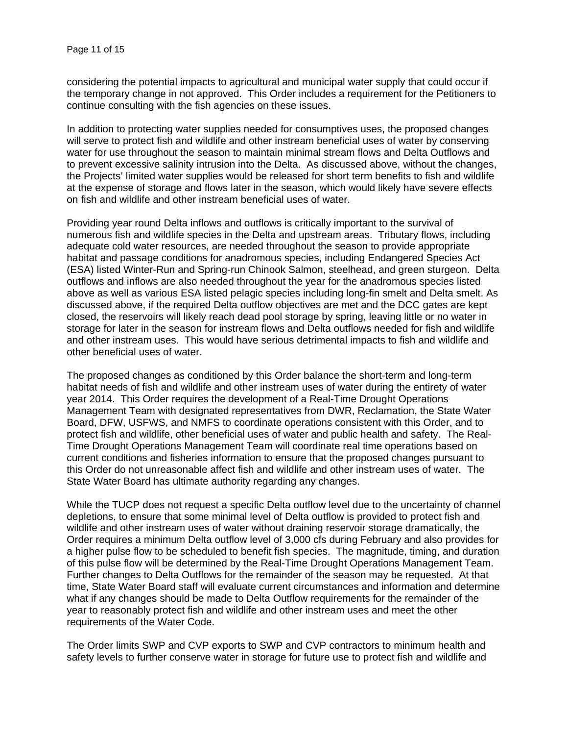considering the potential impacts to agricultural and municipal water supply that could occur if the temporary change in not approved. This Order includes a requirement for the Petitioners to continue consulting with the fish agencies on these issues.

In addition to protecting water supplies needed for consumptives uses, the proposed changes will serve to protect fish and wildlife and other instream beneficial uses of water by conserving water for use throughout the season to maintain minimal stream flows and Delta Outflows and to prevent excessive salinity intrusion into the Delta. As discussed above, without the changes, the Projects' limited water supplies would be released for short term benefits to fish and wildlife at the expense of storage and flows later in the season, which would likely have severe effects on fish and wildlife and other instream beneficial uses of water.

Providing year round Delta inflows and outflows is critically important to the survival of numerous fish and wildlife species in the Delta and upstream areas. Tributary flows, including adequate cold water resources, are needed throughout the season to provide appropriate habitat and passage conditions for anadromous species, including Endangered Species Act (ESA) listed Winter-Run and Spring-run Chinook Salmon, steelhead, and green sturgeon. Delta outflows and inflows are also needed throughout the year for the anadromous species listed above as well as various ESA listed pelagic species including long-fin smelt and Delta smelt. As discussed above, if the required Delta outflow objectives are met and the DCC gates are kept closed, the reservoirs will likely reach dead pool storage by spring, leaving little or no water in storage for later in the season for instream flows and Delta outflows needed for fish and wildlife and other instream uses. This would have serious detrimental impacts to fish and wildlife and other beneficial uses of water.

The proposed changes as conditioned by this Order balance the short-term and long-term habitat needs of fish and wildlife and other instream uses of water during the entirety of water year 2014. This Order requires the development of a Real-Time Drought Operations Management Team with designated representatives from DWR, Reclamation, the State Water Board, DFW, USFWS, and NMFS to coordinate operations consistent with this Order, and to protect fish and wildlife, other beneficial uses of water and public health and safety. The Real-Time Drought Operations Management Team will coordinate real time operations based on current conditions and fisheries information to ensure that the proposed changes pursuant to this Order do not unreasonable affect fish and wildlife and other instream uses of water. The State Water Board has ultimate authority regarding any changes.

While the TUCP does not request a specific Delta outflow level due to the uncertainty of channel depletions, to ensure that some minimal level of Delta outflow is provided to protect fish and wildlife and other instream uses of water without draining reservoir storage dramatically, the Order requires a minimum Delta outflow level of 3,000 cfs during February and also provides for a higher pulse flow to be scheduled to benefit fish species. The magnitude, timing, and duration of this pulse flow will be determined by the Real-Time Drought Operations Management Team. Further changes to Delta Outflows for the remainder of the season may be requested. At that time, State Water Board staff will evaluate current circumstances and information and determine what if any changes should be made to Delta Outflow requirements for the remainder of the year to reasonably protect fish and wildlife and other instream uses and meet the other requirements of the Water Code.

The Order limits SWP and CVP exports to SWP and CVP contractors to minimum health and safety levels to further conserve water in storage for future use to protect fish and wildlife and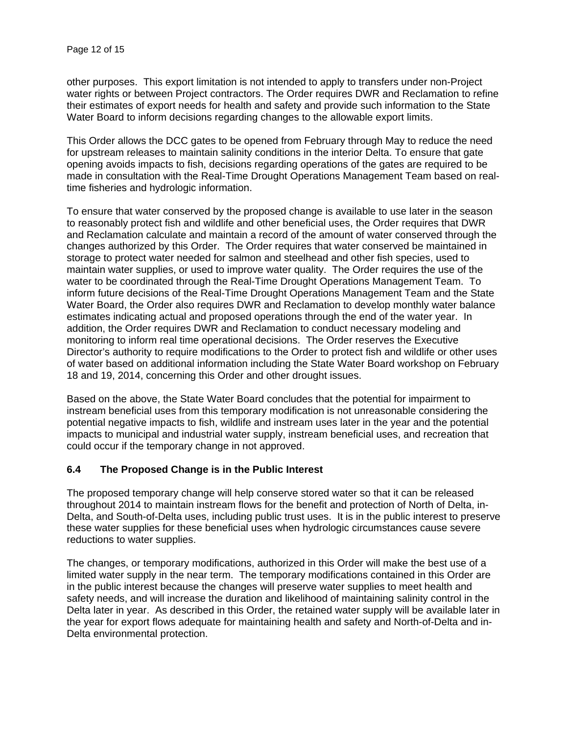other purposes. This export limitation is not intended to apply to transfers under non-Project water rights or between Project contractors. The Order requires DWR and Reclamation to refine their estimates of export needs for health and safety and provide such information to the State Water Board to inform decisions regarding changes to the allowable export limits.

This Order allows the DCC gates to be opened from February through May to reduce the need for upstream releases to maintain salinity conditions in the interior Delta. To ensure that gate opening avoids impacts to fish, decisions regarding operations of the gates are required to be made in consultation with the Real-Time Drought Operations Management Team based on realtime fisheries and hydrologic information.

To ensure that water conserved by the proposed change is available to use later in the season to reasonably protect fish and wildlife and other beneficial uses, the Order requires that DWR and Reclamation calculate and maintain a record of the amount of water conserved through the changes authorized by this Order. The Order requires that water conserved be maintained in storage to protect water needed for salmon and steelhead and other fish species, used to maintain water supplies, or used to improve water quality. The Order requires the use of the water to be coordinated through the Real-Time Drought Operations Management Team. To inform future decisions of the Real-Time Drought Operations Management Team and the State Water Board, the Order also requires DWR and Reclamation to develop monthly water balance estimates indicating actual and proposed operations through the end of the water year. In addition, the Order requires DWR and Reclamation to conduct necessary modeling and monitoring to inform real time operational decisions. The Order reserves the Executive Director's authority to require modifications to the Order to protect fish and wildlife or other uses of water based on additional information including the State Water Board workshop on February 18 and 19, 2014, concerning this Order and other drought issues.

Based on the above, the State Water Board concludes that the potential for impairment to instream beneficial uses from this temporary modification is not unreasonable considering the potential negative impacts to fish, wildlife and instream uses later in the year and the potential impacts to municipal and industrial water supply, instream beneficial uses, and recreation that could occur if the temporary change in not approved.

### **6.4 The Proposed Change is in the Public Interest**

The proposed temporary change will help conserve stored water so that it can be released throughout 2014 to maintain instream flows for the benefit and protection of North of Delta, in-Delta, and South-of-Delta uses, including public trust uses. It is in the public interest to preserve these water supplies for these beneficial uses when hydrologic circumstances cause severe reductions to water supplies.

The changes, or temporary modifications, authorized in this Order will make the best use of a limited water supply in the near term. The temporary modifications contained in this Order are in the public interest because the changes will preserve water supplies to meet health and safety needs, and will increase the duration and likelihood of maintaining salinity control in the Delta later in year. As described in this Order, the retained water supply will be available later in the year for export flows adequate for maintaining health and safety and North-of-Delta and in-Delta environmental protection.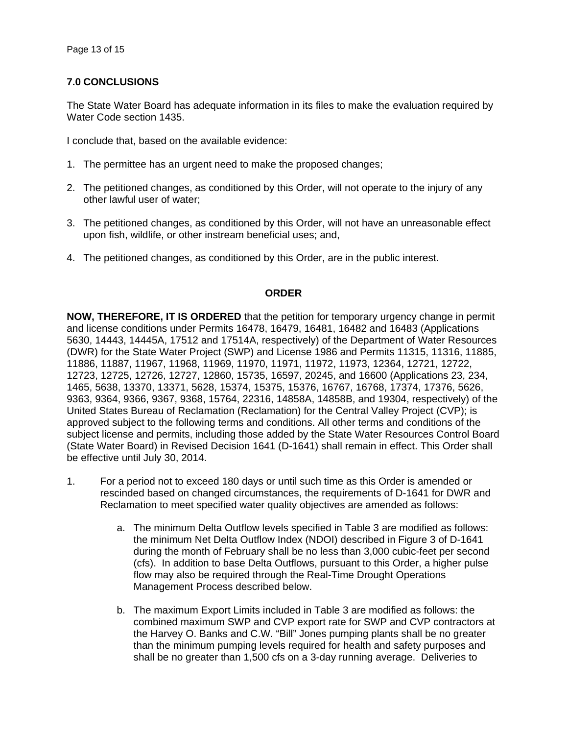# **7.0 CONCLUSIONS**

The State Water Board has adequate information in its files to make the evaluation required by Water Code section 1435.

I conclude that, based on the available evidence:

- 1. The permittee has an urgent need to make the proposed changes;
- 2. The petitioned changes, as conditioned by this Order, will not operate to the injury of any other lawful user of water;
- 3. The petitioned changes, as conditioned by this Order, will not have an unreasonable effect upon fish, wildlife, or other instream beneficial uses; and,
- 4. The petitioned changes, as conditioned by this Order, are in the public interest.

### **ORDER**

**NOW, THEREFORE, IT IS ORDERED** that the petition for temporary urgency change in permit and license conditions under Permits 16478, 16479, 16481, 16482 and 16483 (Applications 5630, 14443, 14445A, 17512 and 17514A, respectively) of the Department of Water Resources (DWR) for the State Water Project (SWP) and License 1986 and Permits 11315, 11316, 11885, 11886, 11887, 11967, 11968, 11969, 11970, 11971, 11972, 11973, 12364, 12721, 12722, 12723, 12725, 12726, 12727, 12860, 15735, 16597, 20245, and 16600 (Applications 23, 234, 1465, 5638, 13370, 13371, 5628, 15374, 15375, 15376, 16767, 16768, 17374, 17376, 5626, 9363, 9364, 9366, 9367, 9368, 15764, 22316, 14858A, 14858B, and 19304, respectively) of the United States Bureau of Reclamation (Reclamation) for the Central Valley Project (CVP); is approved subject to the following terms and conditions. All other terms and conditions of the subject license and permits, including those added by the State Water Resources Control Board (State Water Board) in Revised Decision 1641 (D-1641) shall remain in effect. This Order shall be effective until July 30, 2014.

- 1. For a period not to exceed 180 days or until such time as this Order is amended or rescinded based on changed circumstances, the requirements of D-1641 for DWR and Reclamation to meet specified water quality objectives are amended as follows:
	- a. The minimum Delta Outflow levels specified in Table 3 are modified as follows: the minimum Net Delta Outflow Index (NDOI) described in Figure 3 of D-1641 during the month of February shall be no less than 3,000 cubic-feet per second (cfs). In addition to base Delta Outflows, pursuant to this Order, a higher pulse flow may also be required through the Real-Time Drought Operations Management Process described below.
	- b. The maximum Export Limits included in Table 3 are modified as follows: the combined maximum SWP and CVP export rate for SWP and CVP contractors at the Harvey O. Banks and C.W. "Bill" Jones pumping plants shall be no greater than the minimum pumping levels required for health and safety purposes and shall be no greater than 1,500 cfs on a 3-day running average. Deliveries to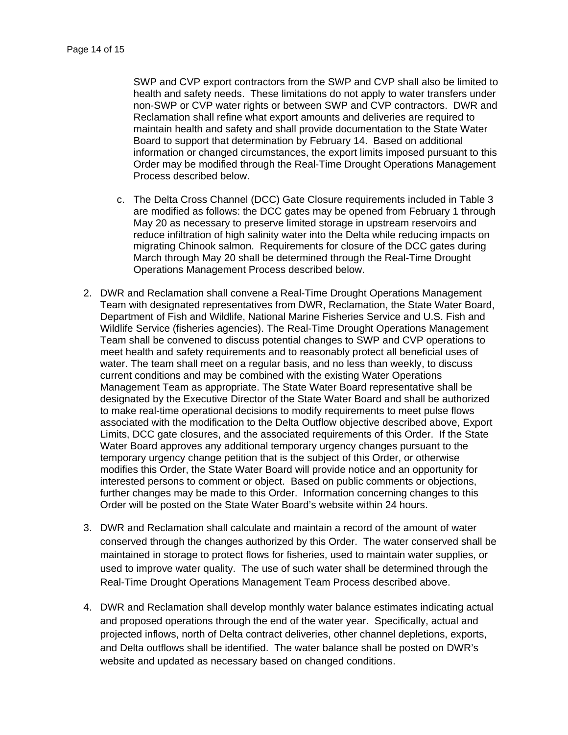SWP and CVP export contractors from the SWP and CVP shall also be limited to health and safety needs. These limitations do not apply to water transfers under non-SWP or CVP water rights or between SWP and CVP contractors. DWR and Reclamation shall refine what export amounts and deliveries are required to maintain health and safety and shall provide documentation to the State Water Board to support that determination by February 14. Based on additional information or changed circumstances, the export limits imposed pursuant to this Order may be modified through the Real-Time Drought Operations Management Process described below.

- c. The Delta Cross Channel (DCC) Gate Closure requirements included in Table 3 are modified as follows: the DCC gates may be opened from February 1 through May 20 as necessary to preserve limited storage in upstream reservoirs and reduce infiltration of high salinity water into the Delta while reducing impacts on migrating Chinook salmon. Requirements for closure of the DCC gates during March through May 20 shall be determined through the Real-Time Drought Operations Management Process described below.
- 2. DWR and Reclamation shall convene a Real-Time Drought Operations Management Team with designated representatives from DWR, Reclamation, the State Water Board, Department of Fish and Wildlife, National Marine Fisheries Service and U.S. Fish and Wildlife Service (fisheries agencies). The Real-Time Drought Operations Management Team shall be convened to discuss potential changes to SWP and CVP operations to meet health and safety requirements and to reasonably protect all beneficial uses of water. The team shall meet on a regular basis, and no less than weekly, to discuss current conditions and may be combined with the existing Water Operations Management Team as appropriate. The State Water Board representative shall be designated by the Executive Director of the State Water Board and shall be authorized to make real-time operational decisions to modify requirements to meet pulse flows associated with the modification to the Delta Outflow objective described above, Export Limits, DCC gate closures, and the associated requirements of this Order. If the State Water Board approves any additional temporary urgency changes pursuant to the temporary urgency change petition that is the subject of this Order, or otherwise modifies this Order, the State Water Board will provide notice and an opportunity for interested persons to comment or object. Based on public comments or objections, further changes may be made to this Order. Information concerning changes to this Order will be posted on the State Water Board's website within 24 hours.
- 3. DWR and Reclamation shall calculate and maintain a record of the amount of water conserved through the changes authorized by this Order. The water conserved shall be maintained in storage to protect flows for fisheries, used to maintain water supplies, or used to improve water quality. The use of such water shall be determined through the Real-Time Drought Operations Management Team Process described above.
- 4. DWR and Reclamation shall develop monthly water balance estimates indicating actual and proposed operations through the end of the water year. Specifically, actual and projected inflows, north of Delta contract deliveries, other channel depletions, exports, and Delta outflows shall be identified. The water balance shall be posted on DWR's website and updated as necessary based on changed conditions.